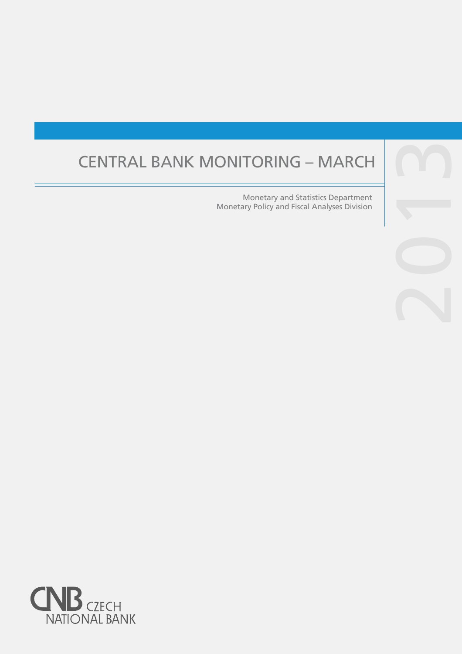# CENTRAL BANK MONITORING – MARCH

Monetary and Statistics Department Monetary Policy and Fiscal Analyses Division

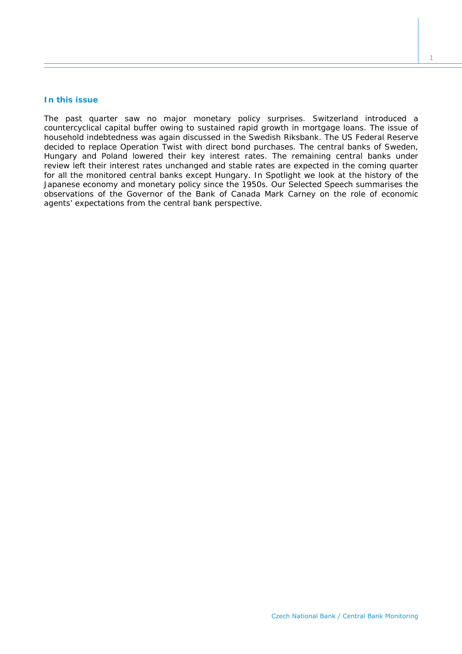# **In this issue**

*The past quarter saw no major monetary policy surprises. Switzerland introduced a countercyclical capital buffer owing to sustained rapid growth in mortgage loans. The issue of household indebtedness was again discussed in the Swedish Riksbank. The US Federal Reserve decided to replace Operation Twist with direct bond purchases. The central banks of Sweden, Hungary and Poland lowered their key interest rates. The remaining central banks under review left their interest rates unchanged and stable rates are expected in the coming quarter for all the monitored central banks except Hungary. In* Spotlight *we look at the history of the Japanese economy and monetary policy since the 1950s. Our* Selected Speech *summarises the observations of the Governor of the Bank of Canada Mark Carney on the role of economic agents' expectations from the central bank perspective*.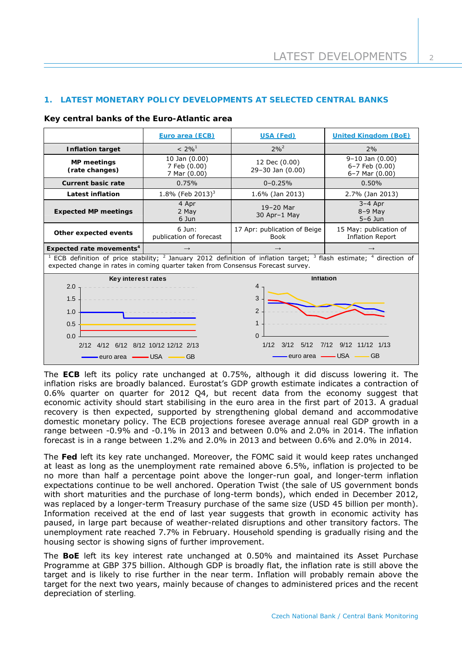# **1. LATEST MONETARY POLICY DEVELOPMENTS AT SELECTED CENTRAL BANKS**

#### **Key central banks of the Euro-Atlantic area**

|                                                                                                                                                                                                                                                      | Euro area (ECB)                               | USA (Fed)                                   | <b>United Kingdom (BoE)</b>                                   |  |
|------------------------------------------------------------------------------------------------------------------------------------------------------------------------------------------------------------------------------------------------------|-----------------------------------------------|---------------------------------------------|---------------------------------------------------------------|--|
| <b>Inflation target</b>                                                                                                                                                                                                                              | $< 2\%$ <sup>1</sup>                          | $2\%^{2}$                                   | 2%                                                            |  |
| <b>MP</b> meetings<br>(rate changes)                                                                                                                                                                                                                 | 10 Jan (0.00)<br>7 Feb (0.00)<br>7 Mar (0.00) | 12 Dec (0.00)<br>29-30 Jan (0.00)           | $9-10$ Jan $(0.00)$<br>6-7 Feb (0.00)<br>$6 - 7$ Mar $(0.00)$ |  |
| <b>Current basic rate</b>                                                                                                                                                                                                                            | 0.75%                                         | $0 - 0.25%$                                 | 0.50%                                                         |  |
| Latest inflation                                                                                                                                                                                                                                     | 1.8% (Feb 2013) <sup>3</sup>                  | 1.6% (Jan 2013)                             | 2.7% (Jan 2013)                                               |  |
| <b>Expected MP meetings</b>                                                                                                                                                                                                                          | 4 Apr<br>2 May<br>6 Jun                       | $19-20$ Mar<br>30 Apr-1 May                 | $3-4$ Apr<br>$8-9$ May<br>$5-6$ Jun                           |  |
| Other expected events                                                                                                                                                                                                                                | $6$ Jun:<br>publication of forecast           | 17 Apr: publication of Beige<br><b>Book</b> | 15 May: publication of<br><b>Inflation Report</b>             |  |
| Expected rate movements <sup>4</sup>                                                                                                                                                                                                                 | $\rightarrow$                                 |                                             |                                                               |  |
| <sup>1</sup> ECB definition of price stability; <sup>2</sup> January 2012 definition of inflation target; <sup>3</sup> flash estimate; <sup>4</sup> direction of<br>expected change in rates in coming quarter taken from Consensus Forecast survey. |                                               |                                             |                                                               |  |
| Key interest rates                                                                                                                                                                                                                                   |                                               | Inflation                                   |                                                               |  |
| 2.0                                                                                                                                                                                                                                                  |                                               | 4                                           |                                                               |  |
| 1.5                                                                                                                                                                                                                                                  |                                               | 3                                           |                                                               |  |
| 1.0                                                                                                                                                                                                                                                  |                                               | $\overline{2}$                              |                                                               |  |
| 0.5                                                                                                                                                                                                                                                  |                                               | 1                                           |                                                               |  |
| 0.0                                                                                                                                                                                                                                                  |                                               | $\Omega$                                    |                                                               |  |
| 7/12 9/12 11/12 1/13<br>3/12<br>5/12<br>1/12<br>2/12 4/12 6/12 8/12 10/12 12/12 2/13                                                                                                                                                                 |                                               |                                             |                                                               |  |
| — USA<br>GB<br>euro area ·<br>—— GB                                                                                                                                                                                                                  |                                               |                                             |                                                               |  |

The **ECB** left its policy rate unchanged at 0.75%, although it did discuss lowering it. The inflation risks are broadly balanced. Eurostat's GDP growth estimate indicates a contraction of 0.6% quarter on quarter for 2012 Q4, but recent data from the economy suggest that economic activity should start stabilising in the euro area in the first part of 2013. A gradual recovery is then expected, supported by strengthening global demand and accommodative domestic monetary policy. The ECB projections foresee average annual real GDP growth in a range between -0.9% and -0.1% in 2013 and between 0.0% and 2.0% in 2014. The inflation forecast is in a range between 1.2% and 2.0% in 2013 and between 0.6% and 2.0% in 2014.

The **Fed** left its key rate unchanged. Moreover, the FOMC said it would keep rates unchanged at least as long as the unemployment rate remained above 6.5%, inflation is projected to be no more than half a percentage point above the longer-run goal, and longer-term inflation expectations continue to be well anchored. Operation Twist (the sale of US government bonds with short maturities and the purchase of long-term bonds), which ended in December 2012, was replaced by a longer-term Treasury purchase of the same size (USD 45 billion per month). Information received at the end of last year suggests that growth in economic activity has paused, in large part because of weather-related disruptions and other transitory factors. The unemployment rate reached 7.7% in February. Household spending is gradually rising and the housing sector is showing signs of further improvement.

The **BoE** left its key interest rate unchanged at 0.50% and maintained its Asset Purchase Programme at GBP 375 billion. Although GDP is broadly flat, the inflation rate is still above the target and is likely to rise further in the near term. Inflation will probably remain above the target for the next two years, mainly because of changes to administered prices and the recent depreciation of sterling.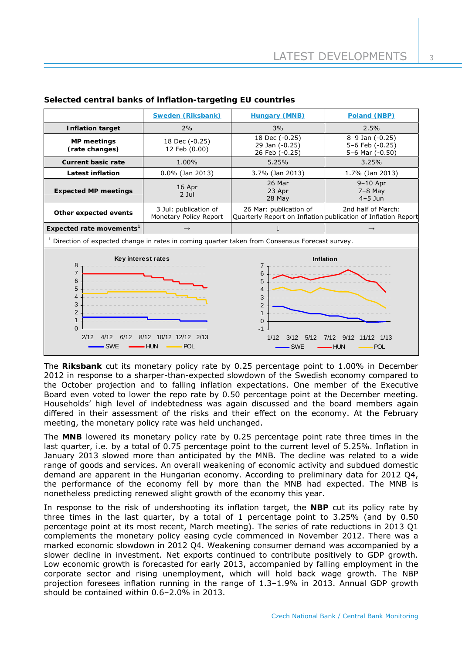|                                                                                                                                                                                                                                                                                                                                                        | Sweden (Riksbank)                               | <b>Hungary (MNB)</b>                               | Poland (NBP)                                                                        |  |  |
|--------------------------------------------------------------------------------------------------------------------------------------------------------------------------------------------------------------------------------------------------------------------------------------------------------------------------------------------------------|-------------------------------------------------|----------------------------------------------------|-------------------------------------------------------------------------------------|--|--|
| <b>Inflation target</b>                                                                                                                                                                                                                                                                                                                                | 2%                                              | 3%                                                 | 2.5%                                                                                |  |  |
| <b>MP</b> meetings<br>(rate changes)                                                                                                                                                                                                                                                                                                                   | 18 Dec (-0.25)<br>12 Feb (0.00)                 | 18 Dec (-0.25)<br>29 Jan (-0.25)<br>26 Feb (-0.25) | 8-9 Jan (-0.25)<br>5-6 Feb (-0.25)<br>5-6 Mar (-0.50)                               |  |  |
| <b>Current basic rate</b>                                                                                                                                                                                                                                                                                                                              | 1.00%                                           | 5.25%                                              | 3.25%                                                                               |  |  |
| <b>Latest inflation</b>                                                                                                                                                                                                                                                                                                                                | $0.0\%$ (Jan 2013)                              | 3.7% (Jan 2013)                                    |                                                                                     |  |  |
| <b>Expected MP meetings</b>                                                                                                                                                                                                                                                                                                                            | 16 Apr<br>$2$ Jul                               | 26 Mar<br>23 Apr<br>28 May                         | $9-10$ Apr<br>$7-8$ May<br>$4-5$ Jun                                                |  |  |
| Other expected events                                                                                                                                                                                                                                                                                                                                  | 3 Jul: publication of<br>Monetary Policy Report | 26 Mar: publication of                             | 2nd half of March:<br>Quarterly Report on Inflation publication of Inflation Report |  |  |
| Expected rate movements <sup>1</sup>                                                                                                                                                                                                                                                                                                                   | $\rightarrow$                                   |                                                    | $\rightarrow$                                                                       |  |  |
| $1$ Direction of expected change in rates in coming quarter taken from Consensus Forecast survey.                                                                                                                                                                                                                                                      |                                                 |                                                    |                                                                                     |  |  |
| Key interest rates<br><b>Inflation</b><br>8<br>7<br>$\overline{7}$<br>6<br>6<br>5<br>5<br>4<br>4<br>3<br>3<br>$\overline{2}$<br>$\overline{2}$<br>1<br>$\Omega$<br>$\Omega$<br>$-1$<br>2/12<br>10/12 12/12 2/13<br>4/12<br>6/12<br>8/12<br>11/12 1/13<br>1/12<br>5/12<br>7/12<br>9/12<br>3/12<br><b>SWE</b><br>– HUN<br>POL<br>$-$ HUN<br>- SWE<br>POL |                                                 |                                                    |                                                                                     |  |  |

# **Selected central banks of inflation-targeting EU countries**

The **Riksbank** cut its monetary policy rate by 0.25 percentage point to 1.00% in December 2012 in response to a sharper-than-expected slowdown of the Swedish economy compared to the October projection and to falling inflation expectations. One member of the Executive Board even voted to lower the repo rate by 0.50 percentage point at the December meeting. Households' high level of indebtedness was again discussed and the board members again differed in their assessment of the risks and their effect on the economy. At the February meeting, the monetary policy rate was held unchanged.

The **MNB** lowered its monetary policy rate by 0.25 percentage point rate three times in the last quarter, i.e. by a total of 0.75 percentage point to the current level of 5.25%. Inflation in January 2013 slowed more than anticipated by the MNB. The decline was related to a wide range of goods and services. An overall weakening of economic activity and subdued domestic demand are apparent in the Hungarian economy. According to preliminary data for 2012 Q4, the performance of the economy fell by more than the MNB had expected. The MNB is nonetheless predicting renewed slight growth of the economy this year.

In response to the risk of undershooting its inflation target, the **NBP** cut its policy rate by three times in the last quarter, by a total of 1 percentage point to 3.25% (and by 0.50 percentage point at its most recent, March meeting). The series of rate reductions in 2013 Q1 complements the monetary policy easing cycle commenced in November 2012. There was a marked economic slowdown in 2012 Q4. Weakening consumer demand was accompanied by a slower decline in investment. Net exports continued to contribute positively to GDP growth. Low economic growth is forecasted for early 2013, accompanied by falling employment in the corporate sector and rising unemployment, which will hold back wage growth. The NBP projection foresees inflation running in the range of 1.3–1.9% in 2013. Annual GDP growth should be contained within 0.6–2.0% in 2013.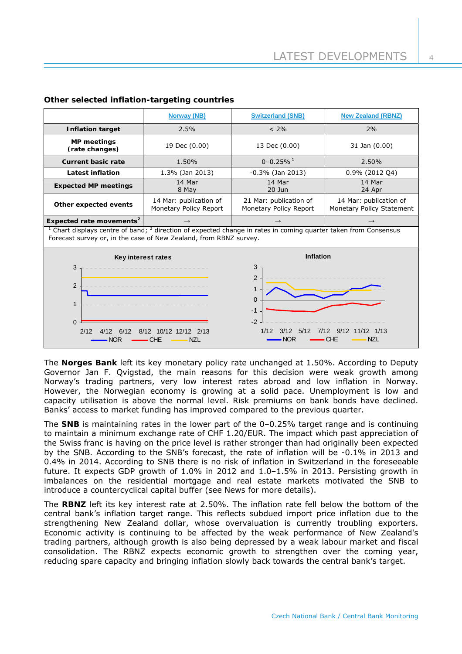|                                                                                                                                                                                                                                                                              | <b>Norway (NB)</b>                               | <b>Switzerland (SNB)</b>                         | <b>New Zealand (RBNZ)</b>                           |  |  |
|------------------------------------------------------------------------------------------------------------------------------------------------------------------------------------------------------------------------------------------------------------------------------|--------------------------------------------------|--------------------------------------------------|-----------------------------------------------------|--|--|
| <b>Inflation target</b>                                                                                                                                                                                                                                                      | 2.5%                                             | $< 2\%$                                          | 2%                                                  |  |  |
| <b>MP</b> meetings<br>(rate changes)                                                                                                                                                                                                                                         | 19 Dec (0.00)                                    | 13 Dec (0.00)                                    | 31 Jan (0.00)                                       |  |  |
| <b>Current basic rate</b>                                                                                                                                                                                                                                                    | 1.50%                                            | $0 - 0.25%$ <sup>1</sup>                         | 2.50%                                               |  |  |
| <b>Latest inflation</b>                                                                                                                                                                                                                                                      | 1.3% (Jan 2013)                                  | $-0.3\%$ (Jan 2013)                              | 0.9% (2012 Q4)                                      |  |  |
| <b>Expected MP meetings</b>                                                                                                                                                                                                                                                  | 14 Mar<br>8 May                                  | 14 Mar<br>$20$ Jun                               | 14 Mar<br>24 Apr                                    |  |  |
| Other expected events                                                                                                                                                                                                                                                        | 14 Mar: publication of<br>Monetary Policy Report | 21 Mar: publication of<br>Monetary Policy Report | 14 Mar: publication of<br>Monetary Policy Statement |  |  |
| Expected rate movements <sup>2</sup>                                                                                                                                                                                                                                         |                                                  |                                                  |                                                     |  |  |
| <sup>1</sup> Chart displays centre of band; $^2$ direction of expected change in rates in coming quarter taken from Consensus<br>Forecast survey or, in the case of New Zealand, from RBNZ survey.                                                                           |                                                  |                                                  |                                                     |  |  |
| Key interest rates                                                                                                                                                                                                                                                           |                                                  | <b>Inflation</b>                                 |                                                     |  |  |
| 3<br>3<br>$\overline{2}$<br>$\overline{2}$<br>$\mathbf{1}$<br>0<br>1<br>$-1$<br>$-2$<br>$\Omega$<br>1/12<br>3/12<br>5/12<br>7/12<br>9/12<br>$11/12$ $1/13$<br>2/12<br>4/12<br>6/12<br>8/12 10/12 12/12 2/13<br><b>NZL</b><br>- NOR<br>CHF<br><b>NOR</b><br><b>NZL</b><br>CHE |                                                  |                                                  |                                                     |  |  |

# **Other selected inflation-targeting countries**

The **Norges Bank** left its key monetary policy rate unchanged at 1.50%. According to Deputy Governor Jan F. Qvigstad, the main reasons for this decision were weak growth among Norway's trading partners, very low interest rates abroad and low inflation in Norway. However, the Norwegian economy is growing at a solid pace. Unemployment is low and capacity utilisation is above the normal level. Risk premiums on bank bonds have declined. Banks' access to market funding has improved compared to the previous quarter.

The **SNB** is maintaining rates in the lower part of the 0–0.25% target range and is continuing to maintain a minimum exchange rate of CHF 1.20/EUR. The impact which past appreciation of the Swiss franc is having on the price level is rather stronger than had originally been expected by the SNB. According to the SNB's forecast, the rate of inflation will be -0.1% in 2013 and 0.4% in 2014. According to SNB there is no risk of inflation in Switzerland in the foreseeable future. It expects GDP growth of 1.0% in 2012 and 1.0–1.5% in 2013. Persisting growth in imbalances on the residential mortgage and real estate markets motivated the SNB to introduce a countercyclical capital buffer (see *News* for more details).

The **RBNZ** left its key interest rate at 2.50%. The inflation rate fell below the bottom of the central bank's inflation target range. This reflects subdued import price inflation due to the strengthening New Zealand dollar, whose overvaluation is currently troubling exporters. Economic activity is continuing to be affected by the weak performance of New Zealand's trading partners, although growth is also being depressed by a weak labour market and fiscal consolidation. The RBNZ expects economic growth to strengthen over the coming year, reducing spare capacity and bringing inflation slowly back towards the central bank's target.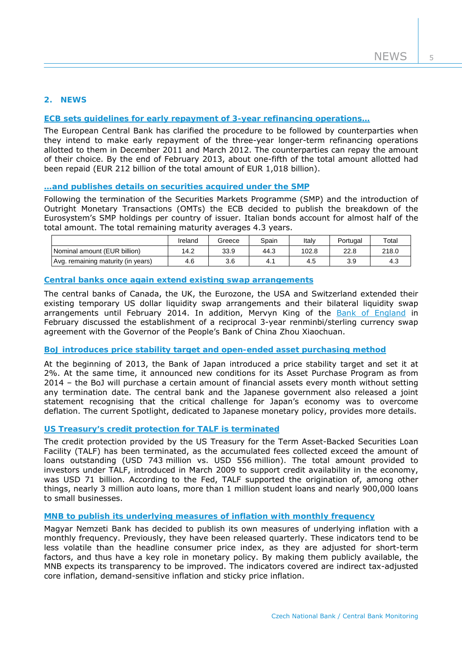# **2. NEWS**

# **[ECB sets guidelines for early repayment of 3-year refinancing operations…](http://www.ecb.europa.eu/ecb/legal/pdf/en_ecb_2012_18_f.pdf)**

The European Central Bank has clarified the procedure to be followed by counterparties when they intend to make early repayment of the three-year longer-term refinancing operations allotted to them in December 2011 and March 2012. The counterparties can repay the amount of their choice. By the end of February 2013, about one-fifth of the total amount allotted had been repaid (EUR 212 billion of the total amount of EUR 1,018 billion).

# **[…and publishes details on securities acquired under the SMP](http://www.ecb.europa.eu/press/pr/date/2013/html/pr130221_1.en.html)**

Following the termination of the Securities Markets Programme (SMP) and the introduction of Outright Monetary Transactions (OMTs) the ECB decided to publish the breakdown of the Eurosystem's SMP holdings per country of issuer. Italian bonds account for almost half of the total amount. The total remaining maturity averages 4.3 years.

|                                    | Ireland | Greece | Spain | Italv | Portugal | Total |
|------------------------------------|---------|--------|-------|-------|----------|-------|
| Nominal amount (EUR billion)       | 14.2    | 33.9   | 44.3  | 102.8 | 22.8     | 218.0 |
| Avg. remaining maturity (in years) | 4.6     | 3.6    | 4.,   | 4.S   | 3.9      | 4.3   |

#### **[Central banks once again extend existing swap arrangements](http://www.ecb.europa.eu/press/pr/date/2012/html/pr121213.en.html)**

The central banks of Canada, the UK, the Eurozone, the USA and Switzerland extended their existing temporary US dollar liquidity swap arrangements and their bilateral liquidity swap arrangements until February 2014. In addition, Mervyn King of the [Bank of England](http://www.bankofengland.co.uk/publications/Pages/news/2013/033.aspx) in February discussed the establishment of a reciprocal 3-year renminbi/sterling currency swap agreement with the Governor of the People's Bank of China Zhou Xiaochuan.

#### **[BoJ introduces price stability target and open-ended asset purchasing method](http://www.boj.or.jp/en/announcements/release_2013/k130122a.pdf)**

At the beginning of 2013, the Bank of Japan introduced a price stability target and set it at 2%. At the same time, it announced new conditions for its Asset Purchase Program as from 2014 – the BoJ will purchase a certain amount of financial assets every month without setting any termination date. The central bank and the Japanese government also released a joint statement recognising that the critical challenge for Japan's economy was to overcome deflation. The current *Spotlight*, dedicated to Japanese monetary policy, provides more details.

#### **[US Treasury's credit protection for TALF is terminated](http://www.federalreserve.gov/newsevents/press/monetary/20130115b.htm)**

The credit protection provided by the US Treasury for the Term Asset-Backed Securities Loan Facility (TALF) has been terminated, as the accumulated fees collected exceed the amount of loans outstanding (USD 743 million vs. USD 556 million). The total amount provided to investors under TALF, introduced in March 2009 to support credit availability in the economy, was USD 71 billion. According to the Fed, TALF supported the origination of, among other things, nearly 3 million auto loans, more than 1 million student loans and nearly 900,000 loans to small businesses.

#### **[MNB to publish its underlying measures](http://english.mnb.hu/Sajtoszoba/online/mnben_pressnews/mnb_en_measures-of-infl-15012013) of inflation with monthly frequency**

Magyar Nemzeti Bank has decided to publish its own measures of underlying inflation with a monthly frequency. Previously, they have been released quarterly. These indicators tend to be less volatile than the headline consumer price index, as they are adjusted for short-term factors, and thus have a key role in monetary policy. By making them publicly available, the MNB expects its transparency to be improved. The indicators covered are indirect tax-adjusted core inflation, demand-sensitive inflation and sticky price inflation.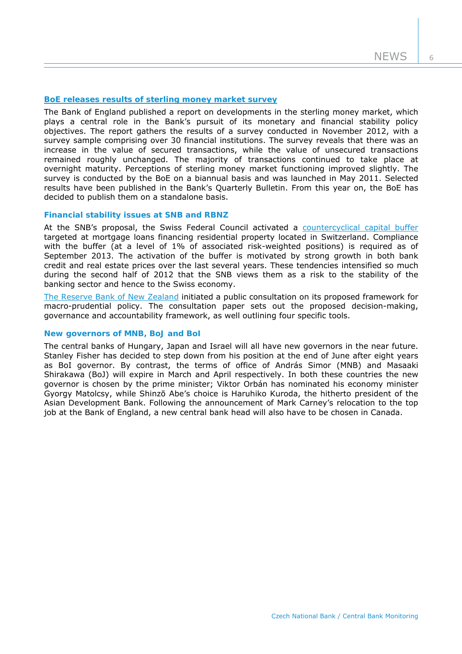6

#### **[BoE releases results of sterling money market survey](http://www.bankofengland.co.uk/publications/Pages/news/2013/024.aspx)**

The Bank of England published a report on developments in the sterling money market, which plays a central role in the Bank's pursuit of its monetary and financial stability policy objectives. The report gathers the results of a survey conducted in November 2012, with a survey sample comprising over 30 financial institutions. The survey reveals that there was an increase in the value of secured transactions, while the value of unsecured transactions remained roughly unchanged. The majority of transactions continued to take place at overnight maturity. Perceptions of sterling money market functioning improved slightly. The survey is conducted by the BoE on a biannual basis and was launched in May 2011. Selected results have been published in the Bank's Quarterly Bulletin. From this year on, the BoE has decided to publish them on a standalone basis.

#### **Financial stability issues at SNB and RBNZ**

At the SNB's proposal, the Swiss Federal Council activated a [countercyclical capital buffer](http://www.snb.ch/en/mmr/reference/pre_20130213/source/pre_20130213.en.pdf) targeted at mortgage loans financing residential property located in Switzerland. Compliance with the buffer (at a level of 1% of associated risk-weighted positions) is required as of September 2013. The activation of the buffer is motivated by strong growth in both bank credit and real estate prices over the last several years. These tendencies intensified so much during the second half of 2012 that the SNB views them as a risk to the stability of the banking sector and hence to the Swiss economy.

[The Reserve Bank of New Zealand](http://www.rbnz.govt.nz/news/2013/5163150.html) initiated a public consultation on its proposed framework for macro-prudential policy. The consultation paper sets out the proposed decision-making, governance and accountability framework, as well outlining four specific tools.

#### **New governors of MNB, BoJ and BoI**

The central banks of Hungary, Japan and Israel will all have new governors in the near future. Stanley Fisher has decided to step down from his position at the end of June after eight years as BoI governor. By contrast, the terms of office of András Simor (MNB) and Masaaki Shirakawa (BoJ) will expire in March and April respectively. In both these countries the new governor is chosen by the prime minister; Viktor Orbán has nominated his economy minister Gyorgy Matolcsy, while Shinzō Abe's choice is Haruhiko Kuroda, the hitherto president of the Asian Development Bank. Following the announcement of Mark Carney's relocation to the top job at the Bank of England, a new central bank head will also have to be chosen in Canada.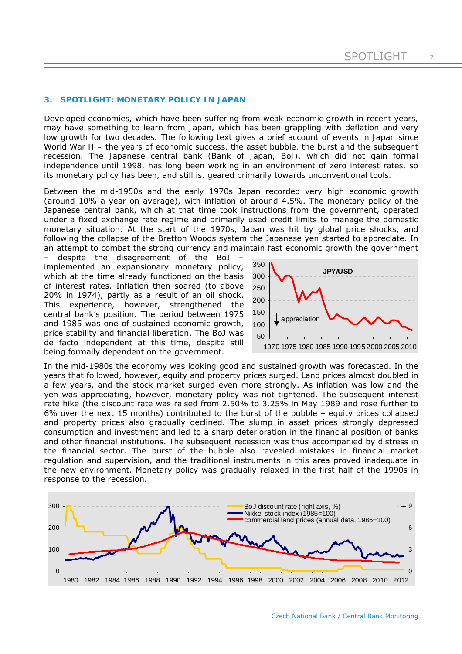#### **3. SPOTLIGHT: MONETARY POLICY IN JAPAN**

*Developed economies, which have been suffering from weak economic growth in recent years, may have something to learn from Japan, which has been grappling with deflation and very low growth for two decades. The following text gives a brief account of events in Japan since World War II – the years of economic success, the asset bubble, the burst and the subsequent*  recession. The Japanese central bank (Bank of Japan, BoJ), which did not gain formal *independence until 1998, has long been working in an environment of zero interest rates, so its monetary policy has been, and still is, geared primarily towards unconventional tools.* 

Between the mid-1950s and the early 1970s Japan recorded very high economic growth (around 10% a year on average), with inflation of around 4.5%. The monetary policy of the Japanese central bank, which at that time took instructions from the government, operated under a fixed exchange rate regime and primarily used credit limits to manage the domestic monetary situation. At the start of the 1970s, Japan was hit by global price shocks, and following the collapse of the Bretton Woods system the Japanese yen started to appreciate. In an attempt to combat the strong currency and maintain fast economic growth the government

despite the disagreement of the BoJ implemented an expansionary monetary policy, which at the time already functioned on the basis of interest rates. Inflation then soared (to above 20% in 1974), partly as a result of an oil shock. This experience, however, strengthened the central bank's position. The period between 1975 and 1985 was one of sustained economic growth, price stability and financial liberation. The BoJ was de facto independent at this time, despite still being formally dependent on the government.



In the mid-1980s the economy was looking good and sustained growth was forecasted. In the years that followed, however, equity and property prices surged. Land prices almost doubled in a few years, and the stock market surged even more strongly. As inflation was low and the yen was appreciating, however, monetary policy was not tightened. The subsequent interest rate hike (the discount rate was raised from 2.50% to 3.25% in May 1989 and rose further to 6% over the next 15 months) contributed to the burst of the bubble – equity prices collapsed and property prices also gradually declined. The slump in asset prices strongly depressed consumption and investment and led to a sharp deterioration in the financial position of banks and other financial institutions. The subsequent recession was thus accompanied by distress in the financial sector. The burst of the bubble also revealed mistakes in financial market regulation and supervision, and the traditional instruments in this area proved inadequate in the new environment. Monetary policy was gradually relaxed in the first half of the 1990s in response to the recession.

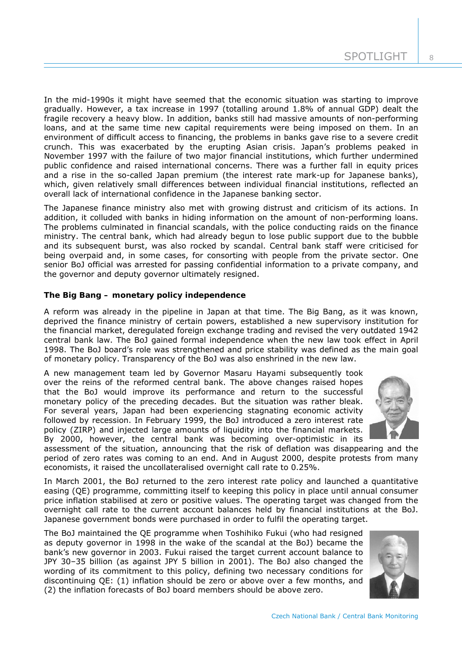In the mid-1990s it might have seemed that the economic situation was starting to improve gradually. However, a tax increase in 1997 (totalling around 1.8% of annual GDP) dealt the fragile recovery a heavy blow. In addition, banks still had massive amounts of non-performing loans, and at the same time new capital requirements were being imposed on them. In an environment of difficult access to financing, the problems in banks gave rise to a severe credit crunch. This was exacerbated by the erupting Asian crisis. Japan's problems peaked in November 1997 with the failure of two major financial institutions, which further undermined public confidence and raised international concerns. There was a further fall in equity prices and a rise in the so-called Japan premium (the interest rate mark-up for Japanese banks), which, given relatively small differences between individual financial institutions, reflected an overall lack of international confidence in the Japanese banking sector.

The Japanese finance ministry also met with growing distrust and criticism of its actions. In addition, it colluded with banks in hiding information on the amount of non-performing loans. The problems culminated in financial scandals, with the police conducting raids on the finance ministry. The central bank, which had already begun to lose public support due to the bubble and its subsequent burst, was also rocked by scandal. Central bank staff were criticised for being overpaid and, in some cases, for consorting with people from the private sector. One senior BoJ official was arrested for passing confidential information to a private company, and the governor and deputy governor ultimately resigned.

# **The Big Bang – monetary policy independence**

A reform was already in the pipeline in Japan at that time. The Big Bang, as it was known, deprived the finance ministry of certain powers, established a new supervisory institution for the financial market, deregulated foreign exchange trading and revised the very outdated 1942 central bank law. The BoJ gained formal independence when the new law took effect in April 1998. The BoJ board's role was strengthened and price stability was defined as the main goal of monetary policy. Transparency of the BoJ was also enshrined in the new law.

A new management team led by Governor Masaru Hayami subsequently took over the reins of the reformed central bank. The above changes raised hopes that the BoJ would improve its performance and return to the successful monetary policy of the preceding decades. But the situation was rather bleak. For several years, Japan had been experiencing stagnating economic activity followed by recession. In February 1999, the BoJ introduced a zero interest rate policy (ZIRP) and injected large amounts of liquidity into the financial markets. By 2000, however, the central bank was becoming over-optimistic in its



assessment of the situation, announcing that the risk of deflation was disappearing and the period of zero rates was coming to an end. And in August 2000, despite protests from many economists, it raised the uncollateralised overnight call rate to 0.25%.

In March 2001, the BoJ returned to the zero interest rate policy and launched a quantitative easing (QE) programme, committing itself to keeping this policy in place until annual consumer price inflation stabilised at zero or positive values. The operating target was changed from the overnight call rate to the current account balances held by financial institutions at the BoJ. Japanese government bonds were purchased in order to fulfil the operating target.

The BoJ maintained the QE programme when Toshihiko Fukui (who had resigned as deputy governor in 1998 in the wake of the scandal at the BoJ) became the bank's new governor in 2003. Fukui raised the target current account balance to JPY 30–35 billion (as against JPY 5 billion in 2001). The BoJ also changed the wording of its commitment to this policy, defining two necessary conditions for discontinuing QE: (1) inflation should be zero or above over a few months, and (2) the inflation forecasts of BoJ board members should be above zero.

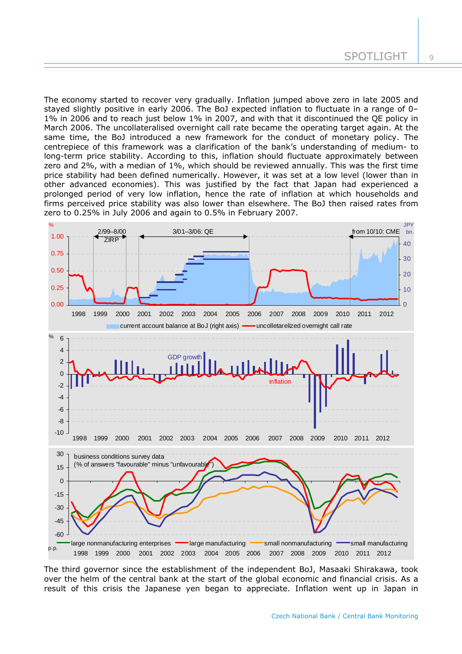The economy started to recover very gradually. Inflation jumped above zero in late 2005 and stayed slightly positive in early 2006. The BoJ expected inflation to fluctuate in a range of 0– 1% in 2006 and to reach just below 1% in 2007, and with that it discontinued the QE policy in March 2006. The uncollateralised overnight call rate became the operating target again. At the same time, the BoJ introduced a new framework for the conduct of monetary policy. The centrepiece of this framework was a clarification of the bank's understanding of medium- to long-term price stability. According to this, inflation should fluctuate approximately between zero and 2%, with a median of 1%, which should be reviewed annually. This was the first time price stability had been defined numerically. However, it was set at a low level (lower than in other advanced economies). This was justified by the fact that Japan had experienced a prolonged period of very low inflation, hence the rate of inflation at which households and firms perceived price stability was also lower than elsewhere. The BoJ then raised rates from zero to 0.25% in July 2006 and again to 0.5% in February 2007.



The third governor since the establishment of the independent BoJ, Masaaki Shirakawa, took over the helm of the central bank at the start of the global economic and financial crisis. As a result of this crisis the Japanese yen began to appreciate. Inflation went up in Japan in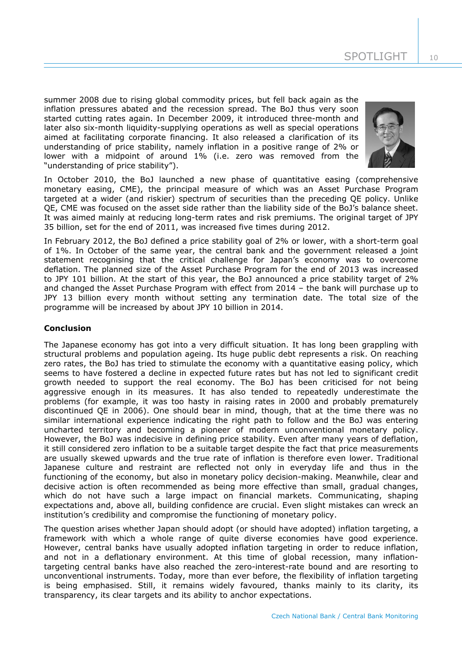summer 2008 due to rising global commodity prices, but fell back again as the inflation pressures abated and the recession spread. The BoJ thus very soon started cutting rates again. In December 2009, it introduced three-month and later also six-month liquidity-supplying operations as well as special operations aimed at facilitating corporate financing. It also released a clarification of its understanding of price stability, namely inflation in a positive range of 2% or lower with a midpoint of around 1% (i.e. zero was removed from the "understanding of price stability").



In October 2010, the BoJ launched a new phase of quantitative easing (comprehensive monetary easing, CME), the principal measure of which was an Asset Purchase Program targeted at a wider (and riskier) spectrum of securities than the preceding QE policy. Unlike QE, CME was focused on the asset side rather than the liability side of the BoJ's balance sheet. It was aimed mainly at reducing long-term rates and risk premiums. The original target of JPY 35 billion, set for the end of 2011, was increased five times during 2012.

In February 2012, the BoJ defined a price stability goal of 2% or lower, with a short-term goal of 1%. In October of the same year, the central bank and the government released a joint statement recognising that the critical challenge for Japan's economy was to overcome deflation. The planned size of the Asset Purchase Program for the end of 2013 was increased to JPY 101 billion. At the start of this year, the BoJ announced a price stability target of 2% and changed the Asset Purchase Program with effect from 2014 – the bank will purchase up to JPY 13 billion every month without setting any termination date. The total size of the programme will be increased by about JPY 10 billion in 2014.

# **Conclusion**

The Japanese economy has got into a very difficult situation. It has long been grappling with structural problems and population ageing. Its huge public debt represents a risk. On reaching zero rates, the BoJ has tried to stimulate the economy with a quantitative easing policy, which seems to have fostered a decline in expected future rates but has not led to significant credit growth needed to support the real economy. The BoJ has been criticised for not being aggressive enough in its measures. It has also tended to repeatedly underestimate the problems (for example, it was too hasty in raising rates in 2000 and probably prematurely discontinued QE in 2006). One should bear in mind, though, that at the time there was no similar international experience indicating the right path to follow and the BoJ was entering uncharted territory and becoming a pioneer of modern unconventional monetary policy. However, the BoJ was indecisive in defining price stability. Even after many years of deflation, it still considered zero inflation to be a suitable target despite the fact that price measurements are usually skewed upwards and the true rate of inflation is therefore even lower. Traditional Japanese culture and restraint are reflected not only in everyday life and thus in the functioning of the economy, but also in monetary policy decision-making. Meanwhile, clear and decisive action is often recommended as being more effective than small, gradual changes, which do not have such a large impact on financial markets. Communicating, shaping expectations and, above all, building confidence are crucial. Even slight mistakes can wreck an institution's credibility and compromise the functioning of monetary policy.

The question arises whether Japan should adopt (or should have adopted) inflation targeting, a framework with which a whole range of quite diverse economies have good experience. However, central banks have usually adopted inflation targeting in order to reduce inflation, and not in a deflationary environment. At this time of global recession, many inflationtargeting central banks have also reached the zero-interest-rate bound and are resorting to unconventional instruments. Today, more than ever before, the flexibility of inflation targeting is being emphasised. Still, it remains widely favoured, thanks mainly to its clarity, its transparency, its clear targets and its ability to anchor expectations.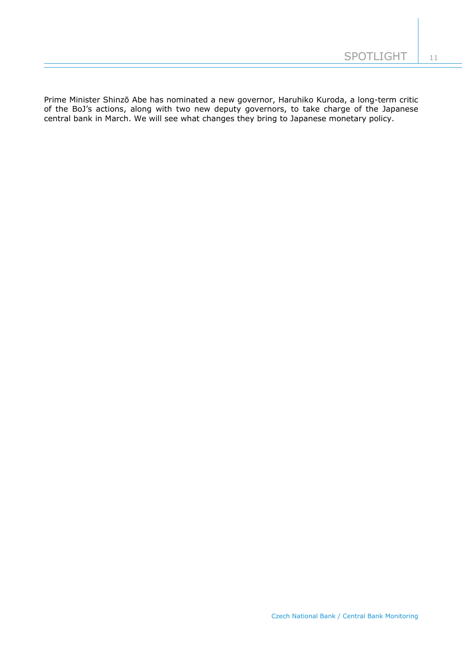Prime Minister Shinzō Abe has nominated a new governor, Haruhiko Kuroda, a long-term critic of the BoJ's actions, along with two new deputy governors, to take charge of the Japanese central bank in March. We will see what changes they bring to Japanese monetary policy.